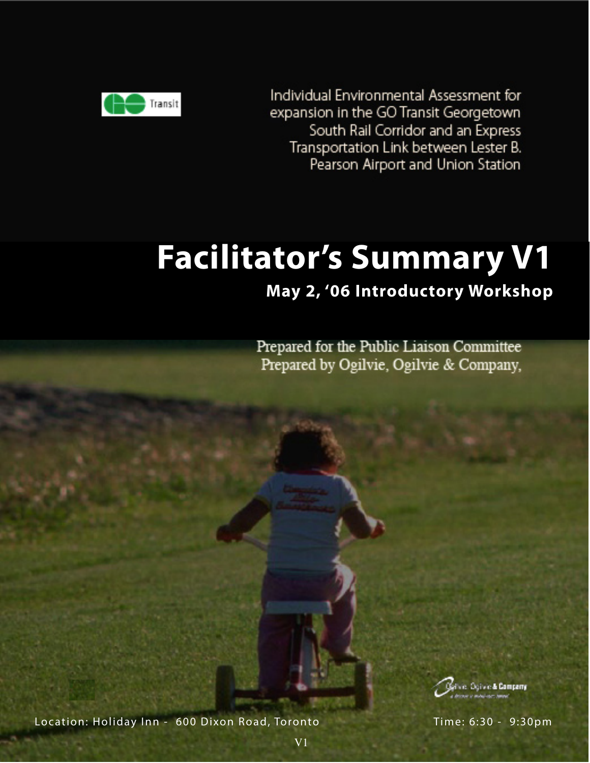

Individual Environmental Assessment for expansion in the GO Transit Georgetown South Rail Corridor and an Express Transportation Link between Lester B. Pearson Airport and Union Station

# **Facilitator's Summary V1**

## **May 2, '06 Introductory Workshop**

Prepared for the Public Liaison Committee Prepared by Ogilvie, Ogilvie & Company,



Location: Holiday Inn - 600 Dixon Road, Toronto Time: 6:30 - 9:30pm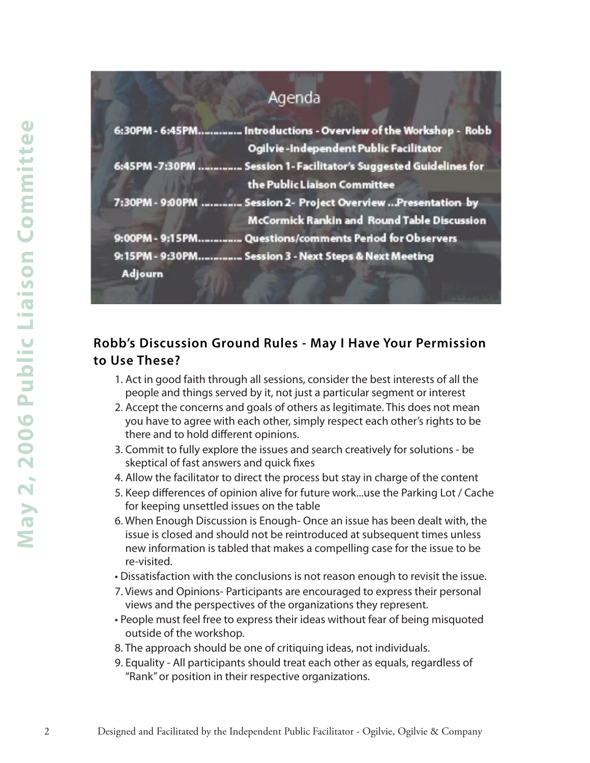## Agenda

| 6:30PM - 6:45PM Introductions - Overview of the Workshop - Robb  |  |
|------------------------------------------------------------------|--|
| Ogilvie-Independent Public Facilitator                           |  |
| 6:45PM-7:30PM  Session 1- Facilitator's Suggested Guidelines for |  |
| the Public Liaison Committee                                     |  |
| 7:30PM - 9:00PM  Session 2- Project Overview  Presentation by    |  |
| <b>McCormick Rankin and Round Table Discussion</b>               |  |
| 9:00PM - 9:15PM Questions/comments Period for Observers          |  |
| 9:15PM - 9:30PM Session 3 - Next Steps & Next Meeting            |  |
| Adjourn                                                          |  |
|                                                                  |  |

### **Robb's Discussion Ground Rules - May I Have Your Permission to Use These?**

- 1. Act in good faith through all sessions, consider the best interests of all the people and things served by it, not just a particular segment or interest
- 2. Accept the concerns and goals of others as legitimate. This does not mean you have to agree with each other, simply respect each other's rights to be there and to hold different opinions.
- 3. Commit to fully explore the issues and search creatively for solutions be skeptical of fast answers and quick fixes
- 4. Allow the facilitator to direct the process but stay in charge of the content
- 5. Keep differences of opinion alive for future work...use the Parking Lot / Cache for keeping unsettled issues on the table
- 6. When Enough Discussion is Enough- Once an issue has been dealt with, the issue is closed and should not be reintroduced at subsequent times unless new information is tabled that makes a compelling case for the issue to be re-visited.
- Dissatisfaction with the conclusions is not reason enough to revisit the issue.
- 7. Views and Opinions- Participants are encouraged to express their personal views and the perspectives of the organizations they represent.
- People must feel free to express their ideas without fear of being misquoted outside of the workshop.
- 8. The approach should be one of critiquing ideas, not individuals.
- 9. Equality All participants should treat each other as equals, regardless of "Rank" or position in their respective organizations.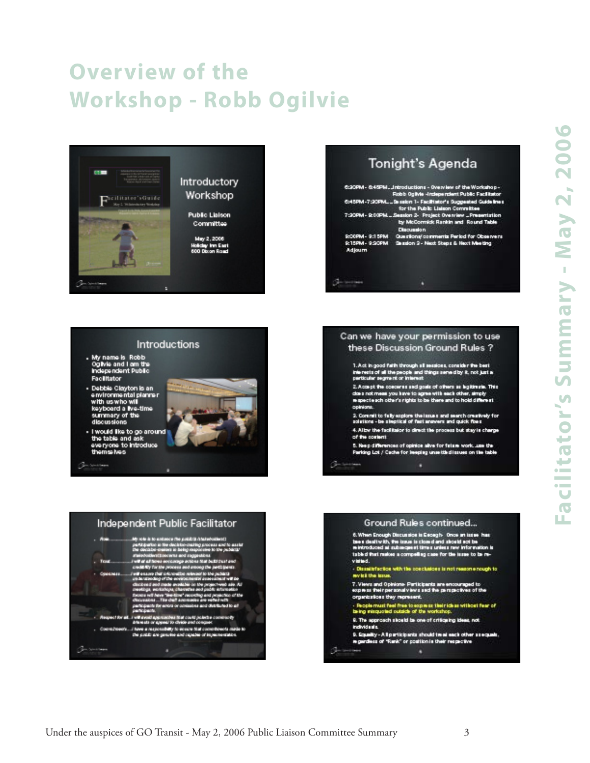## **Overview of the Workshop - Robb Ogilvie**



Introductions

**CALL SO CREW** 

**New York Woman or Must our** 

the position regressive and repeate of impermentation

/ have a respon

My name is Robb<br>Ogivie and I am the<br>Independent Public

- Debbie Clayton is an<br>- environmental planner<br>- with us who will

keyboard a Ive-time summary of the<br>discussions

I would like to go around<br>the table and ask<br>everyone to introduce

Facilitator

themse hers

| Tonight's Agenda |  |
|------------------|--|
|------------------|--|

|                                                      | C:20PM - 0:45PM  Introductions - Overview of the Workshop -<br>Robb Oglivie -Independent Public Facilitator     |
|------------------------------------------------------|-----------------------------------------------------------------------------------------------------------------|
|                                                      | C:45PM-7:20PMSa salon 1- Facilitator's Suggested Guidelines<br>for the Public Lisison Committee                 |
|                                                      | 7:30PM - R.00PM  Segaton 2- Project Overview  Presentation<br>by McCormick Rankin and Round Table<br>Discussion |
| 9:00PM - 9:15PM<br>9:15PM - 9:30PM<br><b>Adjourn</b> | Questions/comments Period for Observers<br>Saussion S - Next Steps & Next Meeting                               |

#### Can we have your permission to use these Discussion Ground Rules ?

1. Act in good fuith through all seasions, consider the best<br>trienests of all the people and things served by it, not just a<br>perticular segment or interest

- 2. Accept the concerns and goals of others as legitimate. This close not mean you have to agree with each other, simply respecte sch other's rights to be there and to hold different cointant.
- 2. Commit to fully explore the issues and search creatively for<br>solutions be sleptical of fast answers and quick fixes
- 4. Allow the facilitator to direct the process but stay is charge of the content
- 5. Neep differences of opinion alive for fatare work, use the Parking Lot / Cache for Ineplay unsettle dissues on the table ٠



### Ground Rules continued...

6. When Encugh Discussion is Escagh- Once an issue has<br>been dealtry ith, the issue is closed and slootid act be<br>reintroduced as subsequent times unless new information is<br>tabled that makes a compelling case for the issue t  $\cdot$  Diminitriacios with the conclusions is not reason enough to not bit the inter-

7. Views and Opinions-Participants are encouraged to<br>express their personal views and the perspectives of the organizations they represent.

- Reoplemust feel free to express their ideas without fear of<br>being misquoted outside of the workshop.

- 9. The approach should be one of criticating ideas, not individuals.
- 9. Squality A Il participants should treat each other ssequals.<br>In gardiess of "Rank" or position is their respective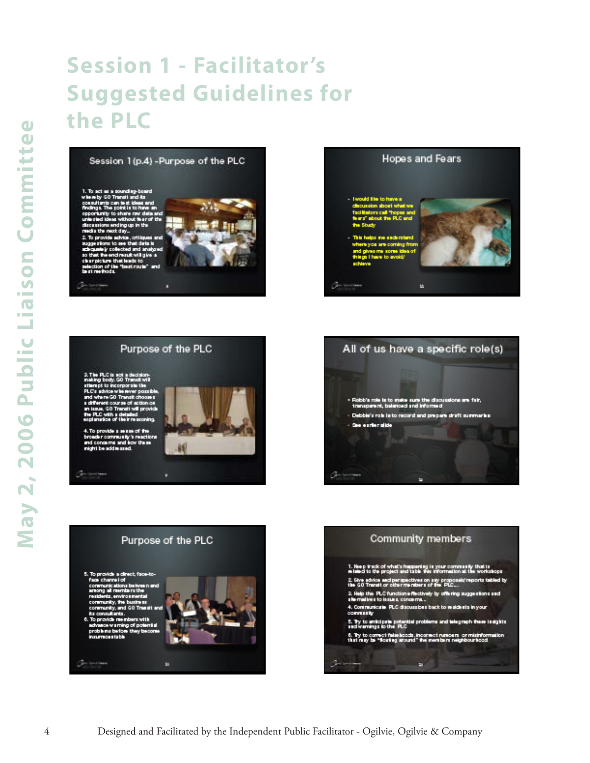## **Session 1 - Facilitator's Suggested Guidelines for the PLC**

Session 1 (p.4) - Purpose of the PLC





### Purpose of the PLC







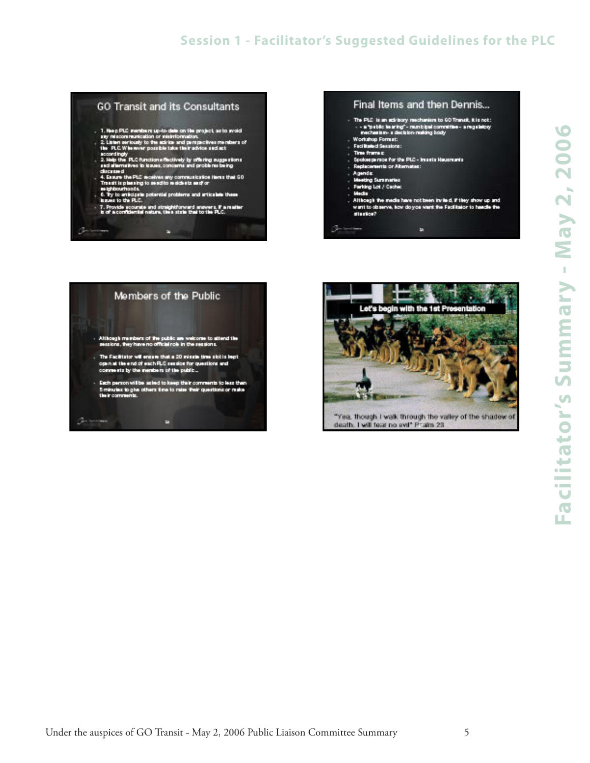## **Session 1 - Facilitator's Suggested Guidelines for the PLC**

#### **GO Transit and its Consultants**

- 
- 1. Neep PLC members up-to-date on the project, as to avoid<br>any miscommunication or misinformation.<br>2. Linien seriously to the act is and perspectives members of<br>the PLC Wite aver possible take their advice sed act.
- scoordingly<br>2. Help the PLC functions flectively by offering suggestions<br>and alternatives to traves, concerns and problems being discussed
- clusioned<br>4. Expure the PLC receives any communication liems that 60<br>Transit is pleasing to send to residents and or
- 6. Ty to anticipate potential problems and articulate these<br>Issues to the PLC.
- 7. Provide scourate and straightforward answers. If a matter<br>is of a confidential nature, then state that to the PLC.

Е

### Final Items and then Dennis...

- The PLC is an ack bory mechanism to 60 Transk, it is not:<br>- a "pablic is aring" municipal committee a regulatory<br>- mechanism- a decision-making body
- Workshop Format:
- Facilitated Sensions:<br>Time frame p
- Spokes person for the PLC Imagin Hausmania
- Replacements or Albertubes:
- gends:
- ing Summanies **Farking Lot / Cache:**
- **Audio**
- 
- Although the media have not been invited. If they show up and<br>want to observe, how do you want the Facilitator to handle the<br>struction?

в



Germann

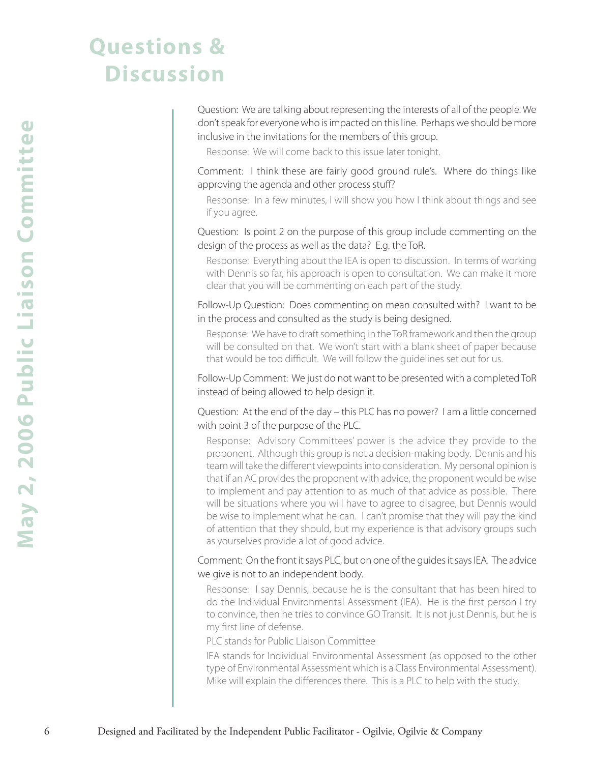## **Questions & Discussion**

Question: We are talking about representing the interests of all of the people. We don't speak for everyone who is impacted on this line. Perhaps we should be more inclusive in the invitations for the members of this group.

Response: We will come back to this issue later tonight.

Comment: I think these are fairly good ground rule's. Where do things like approving the agenda and other process stuff?

Response: In a few minutes, I will show you how I think about things and see if you agree.

Question: Is point 2 on the purpose of this group include commenting on the design of the process as well as the data? E.g. the ToR.

Response: Everything about the IEA is open to discussion. In terms of working with Dennis so far, his approach is open to consultation. We can make it more clear that you will be commenting on each part of the study.

Follow-Up Question: Does commenting on mean consulted with? I want to be in the process and consulted as the study is being designed.

Response: We have to draft something in the ToR framework and then the group will be consulted on that. We won't start with a blank sheet of paper because that would be too difficult. We will follow the guidelines set out for us.

Follow-Up Comment: We just do not want to be presented with a completed ToR instead of being allowed to help design it.

Question: At the end of the day – this PLC has no power? I am a little concerned with point 3 of the purpose of the PLC.

Better Company *Company and Company and Company in Public Facilitation* (Figure 2) in Facilitation in the Independent Public Facilitation in the Hacilitation in the Independent Public Facilitation in the Independent Publ Response: Advisory Committees' power is the advice they provide to the proponent. Although this group is not a decision-making body. Dennis and his team will take the different viewpoints into consideration. My personal opinion is that if an AC provides the proponent with advice, the proponent would be wise to implement and pay attention to as much of that advice as possible. There will be situations where you will have to agree to disagree, but Dennis would be wise to implement what he can. I can't promise that they will pay the kind of attention that they should, but my experience is that advisory groups such as yourselves provide a lot of good advice.

Comment: On the front it says PLC, but on one of the guides it says IEA. The advice we give is not to an independent body.

Response: I say Dennis, because he is the consultant that has been hired to do the Individual Environmental Assessment (IEA). He is the first person I try to convince, then he tries to convince GO Transit. It is not just Dennis, but he is my first line of defense.

PLC stands for Public Liaison Committee

IEA stands for Individual Environmental Assessment (as opposed to the other type of Environmental Assessment which is a Class Environmental Assessment). Mike will explain the differences there. This is a PLC to help with the study.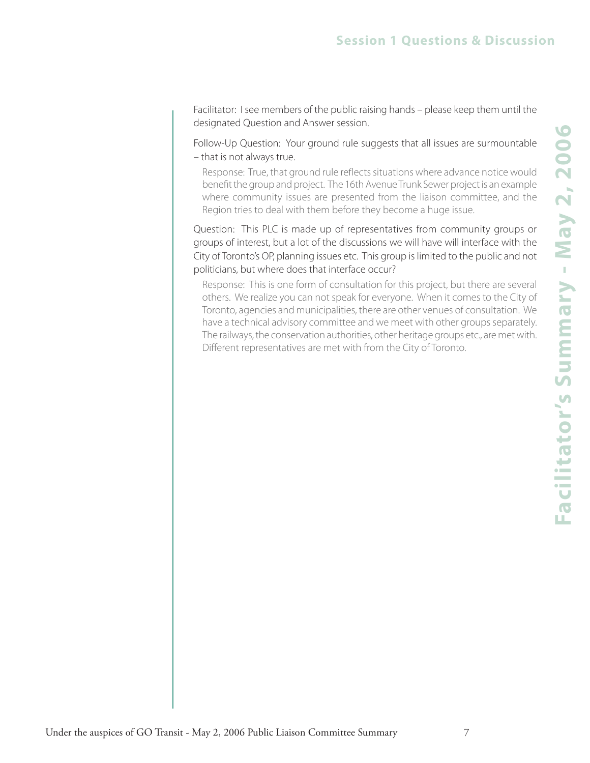Facilitator: I see members of the public raising hands – please keep them until the designated Question and Answer session.

Follow-Up Question: Your ground rule suggests that all issues are surmountable – that is not always true.

Response: True, that ground rule reflects situations where advance notice would benefit the group and project. The 16th Avenue Trunk Sewer project is an example where community issues are presented from the liaison committee, and the Region tries to deal with them before they become a huge issue.

Question: This PLC is made up of representatives from community groups or groups of interest, but a lot of the discussions we will have will interface with the City of Toronto's OP, planning issues etc. This group is limited to the public and not politicians, but where does that interface occur?

Response: This is one form of consultation for this project, but there are several others. We realize you can not speak for everyone. When it comes to the City of Toronto, agencies and municipalities, there are other venues of consultation. We have a technical advisory committee and we meet with other groups separately. The railways, the conservation authorities, other heritage groups etc., are met with. Different representatives are met with from the City of Toronto.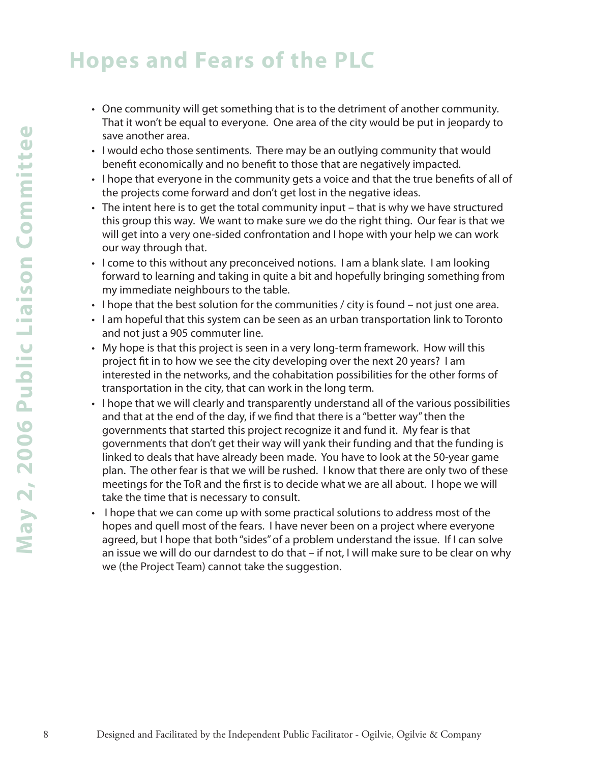## **Hopes and Fears of the PLC**

- One community will get something that is to the detriment of another community. That it won't be equal to everyone. One area of the city would be put in jeopardy to save another area.
- I would echo those sentiments. There may be an outlying community that would benefit economically and no benefit to those that are negatively impacted.
- I hope that everyone in the community gets a voice and that the true benefits of all of the projects come forward and don't get lost in the negative ideas.
- The intent here is to get the total community input that is why we have structured this group this way. We want to make sure we do the right thing. Our fear is that we will get into a very one-sided confrontation and I hope with your help we can work our way through that.
- I come to this without any preconceived notions. I am a blank slate. I am looking forward to learning and taking in quite a bit and hopefully bringing something from my immediate neighbours to the table.
- I hope that the best solution for the communities / city is found not just one area.
- I am hopeful that this system can be seen as an urban transportation link to Toronto and not just a 905 commuter line.
- My hope is that this project is seen in a very long-term framework. How will this project fit in to how we see the city developing over the next 20 years? I am interested in the networks, and the cohabitation possibilities for the other forms of transportation in the city, that can work in the long term.
- I hope that we will clearly and transparently understand all of the various possibilities and that at the end of the day, if we find that there is a "better way" then the governments that started this project recognize it and fund it. My fear is that governments that don't get their way will yank their funding and that the funding is linked to deals that have already been made. You have to look at the 50-year game plan. The other fear is that we will be rushed. I know that there are only two of these meetings for the ToR and the first is to decide what we are all about. I hope we will take the time that is necessary to consult.
- I hope that we can come up with some practical solutions to address most of the hopes and quell most of the fears. I have never been on a project where everyone agreed, but I hope that both "sides" of a problem understand the issue. If I can solve an issue we will do our darndest to do that – if not, I will make sure to be clear on why we (the Project Team) cannot take the suggestion.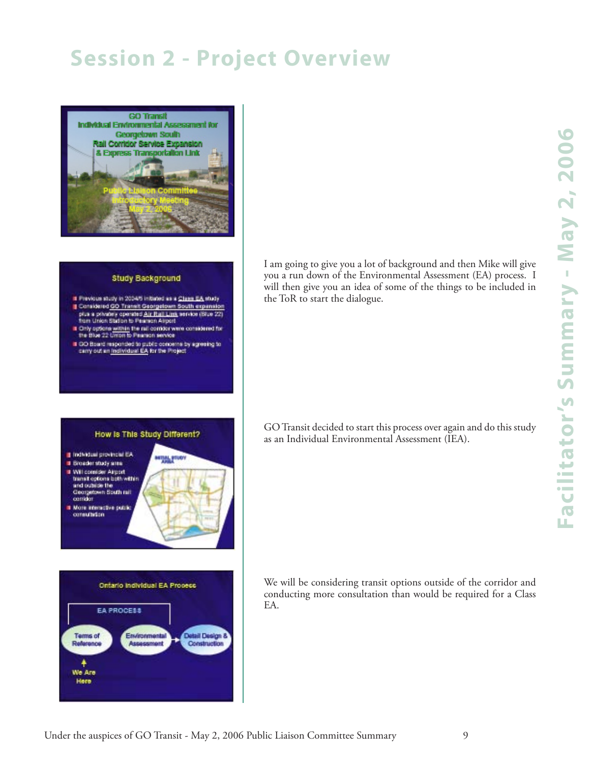## **Session 2 - Project Overview**



#### **Study Background**

- Il Previous study in 2004/5 initiated as a Class EA study Considered GO Transit Georgetown South expension plus a privatery operated Air Rail Lant service (Situe 22)<br>from Union Station to Peamon Airport
- If Only options within the rail combor were considered for<br>the Blue 22 Union to Pearson service
- If GO Board responded to public concerns by agreeing to<br>carry out an <u>individual EA</u> for the Project

How is This Study Different?

I am going to give you a lot of background and then Mike will give you a run down of the Environmental Assessment (EA) process. I will then give you an idea of some of the things to be included in the ToR to start the dialogue.

GO Transit decided to start this process over again and do this study as an Individual Environmental Assessment (IEA).

- Tindwidual provincial EA **Bioaderstudy area** Il Will consider Airport<br>Itransit options both within and oublise the
- Clearpetown South rail<br>combat **Non interactive public**
- consultation



|                              |               | Ontario Individual EA Process |              |
|------------------------------|---------------|-------------------------------|--------------|
|                              | EA PROCESS    |                               |              |
| <b>Terms of</b><br>Reference | Environmental |                               | Construction |
| We Are                       |               |                               |              |
| Here                         |               |                               |              |

We will be considering transit options outside of the corridor and conducting more consultation than would be required for a Class EA.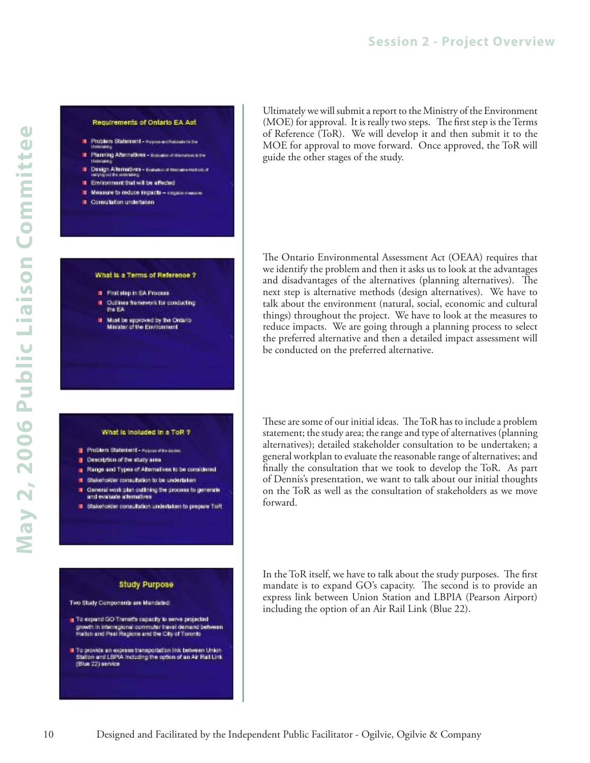### **Session 2 - Project Overview**

#### Requirements of Ontario EA Act

- F Problem Statement Approvacionalistica
- ı Planning Afternatives - mass
- Design Allermoves Eutus
- Environment that will be affected
- 
- Measure to reduce impacts my
- II. Consulation undertaken

#### What is a Terms of Reference ?

- # First step in EA Process
- **Outlines framework for conducting** the EA
- Must be approved by the Ontario<br>Minister of the Environment

#### What is included in a ToR ?

- Problem Statement Automotive
- Description of the study area
- Range and Types of Alternatives to be considered
- T Stakeholder consultation to be undertaken
- Central work plan outlining the process to generate and evaluate allematives
- Statemotier consultation undertaken to prepare Toff

#### **Study Purpose**

Two Study Components are Mandated

To expand GO Transit's capacity to serve projected growth in interregional commuter travel demand between<br>Halten and Peel Regions and the City of Toronto

The provide an express transportation link between Union<br>Blatten and LBPIA including the option of an Air Rail Link<br>(Blue 22) service

Ultimately we will submit a report to the Ministry of the Environment (MOE) for approval. It is really two steps. The first step is the Terms of Reference (ToR). We will develop it and then submit it to the MOE for approval to move forward. Once approved, the ToR will guide the other stages of the study.

The Ontario Environmental Assessment Act (OEAA) requires that we identify the problem and then it asks us to look at the advantages and disadvantages of the alternatives (planning alternatives). The next step is alternative methods (design alternatives). We have to talk about the environment (natural, social, economic and cultural things) throughout the project. We have to look at the measures to reduce impacts. We are going through a planning process to select the preferred alternative and then a detailed impact assessment will be conducted on the preferred alternative.

These are some of our initial ideas. The ToR has to include a problem statement; the study area; the range and type of alternatives (planning alternatives); detailed stakeholder consultation to be undertaken; a general workplan to evaluate the reasonable range of alternatives; and finally the consultation that we took to develop the ToR. As part of Dennis's presentation, we want to talk about our initial thoughts on the ToR as well as the consultation of stakeholders as we move forward.

In the ToR itself, we have to talk about the study purposes. The first mandate is to expand GO's capacity. The second is to provide an express link between Union Station and LBPIA (Pearson Airport) including the option of an Air Rail Link (Blue 22).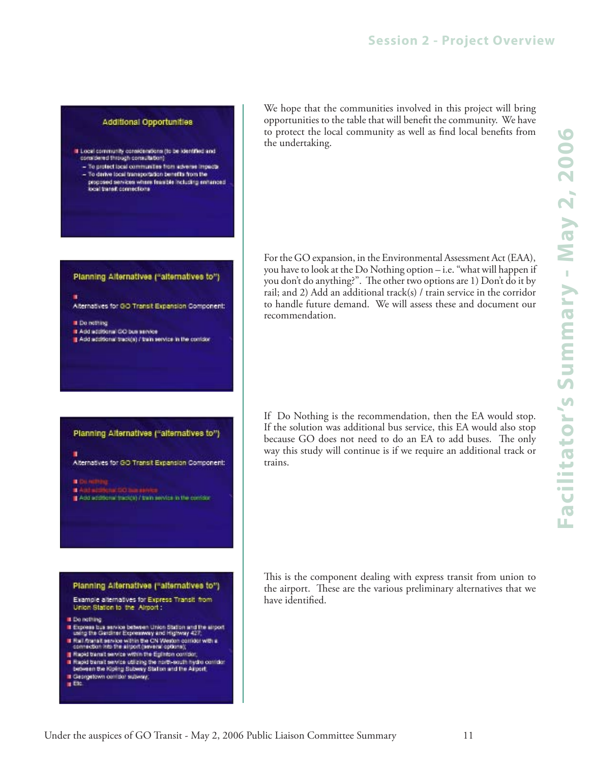#### Additional Opportunities

- If Local community considerations (to be identified and<br>considered through consultation)
	- To protect local communities from adverse impacts - To derive local transportation benefits from the
	- proposed services where fearsble including enhanced local transit connections

#### Planning Alternatives ("alternatives to")

Atternatives for GO Transit Expansion Component:

- **I** Denothing
- Add additional GO bus service Add additional track(s) / train service in the contider

#### Planning Alternatives ("alternatives to")

Alternatives for GO Transit Expansion Component:

- 
- Add additional track(s) / train service in the contrict



We hope that the communities involved in this project will bring opportunities to the table that will benefit the community. We have to protect the local community as well as find local benefits from the undertaking.

For the GO expansion, in the Environmental Assessment Act (EAA), you have to look at the Do Nothing option – i.e. "what will happen if you don't do anything?". The other two options are 1) Don't do it by rail; and 2) Add an additional track(s) / train service in the corridor to handle future demand. We will assess these and document our recommendation.

If Do Nothing is the recommendation, then the EA would stop. If the solution was additional bus service, this EA would also stop because GO does not need to do an EA to add buses. The only way this study will continue is if we require an additional track or trains.

This is the component dealing with express transit from union to the airport. These are the various preliminary alternatives that we have identified.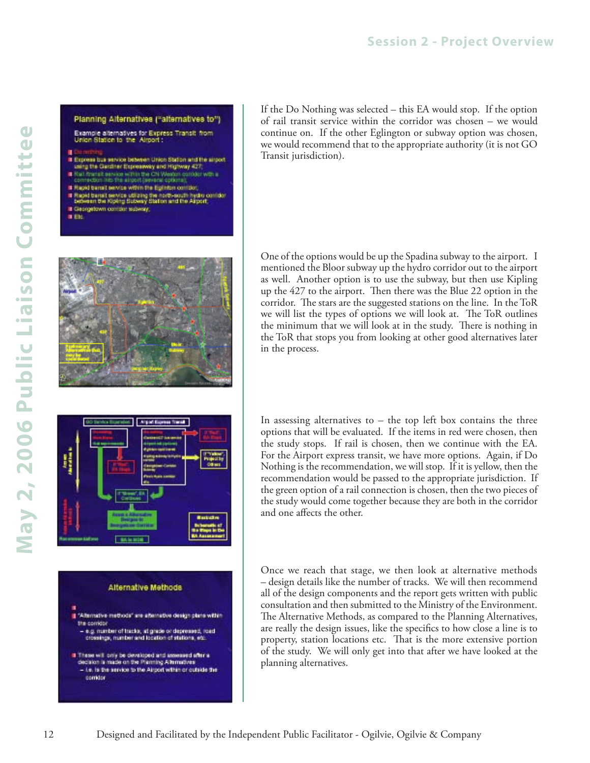#### Planning Alternatives ("alternatives to")

Example alternatives for Express Transit from<br>Union Station to the Alrport :

- 
- Express bus service between Union Station and the angest<br>using the Gardner Expressway and Highway 427;
- 
- If Hall finansit service within the CN Western contates with a<br>connection into the already personal options);
- If Rapid barrait service within the Eglinton contider. If Rapid baract service ublizing the north-acuth hydro contdot<br>between the Kiping Subway Station and the Airport
- Il Georgetown complet subway,
- $\blacksquare$







If the Do Nothing was selected – this EA would stop. If the option of rail transit service within the corridor was chosen – we would continue on. If the other Eglington or subway option was chosen, we would recommend that to the appropriate authority (it is not GO Transit jurisdiction).

One of the options would be up the Spadina subway to the airport. I mentioned the Bloor subway up the hydro corridor out to the airport as well. Another option is to use the subway, but then use Kipling up the 427 to the airport. Then there was the Blue 22 option in the corridor. The stars are the suggested stations on the line. In the ToR we will list the types of options we will look at. The ToR outlines the minimum that we will look at in the study. There is nothing in the ToR that stops you from looking at other good alternatives later in the process.

In assessing alternatives to  $-$  the top left box contains the three options that will be evaluated. If the items in red were chosen, then the study stops. If rail is chosen, then we continue with the EA. For the Airport express transit, we have more options. Again, if Do Nothing is the recommendation, we will stop. If it is yellow, then the recommendation would be passed to the appropriate jurisdiction. If the green option of a rail connection is chosen, then the two pieces of the study would come together because they are both in the corridor and one affects the other.

Once we reach that stage, we then look at alternative methods – design details like the number of tracks. We will then recommend all of the design components and the report gets written with public consultation and then submitted to the Ministry of the Environment. The Alternative Methods, as compared to the Planning Alternatives, are really the design issues, like the specifics to how close a line is to property, station locations etc. That is the more extensive portion of the study. We will only get into that after we have looked at the planning alternatives.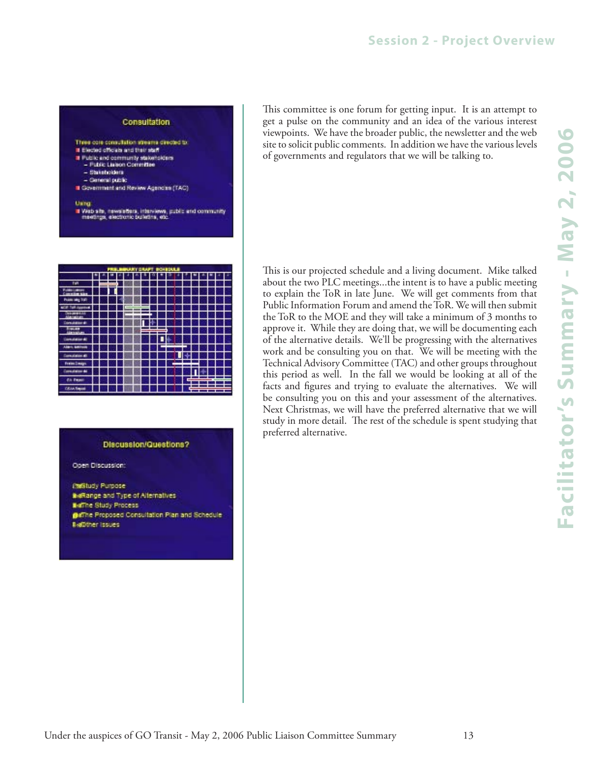#### **Consultation**

- Three core consultation streams directed to
- It Elected officials and their staff
- If Public and community statemolders - Fulsic Liaison Committee
	- Statsholders
- Ceneral public
- Covernment and Review Agencies (TAC)

#### Using

" Web site, newsletters, interviews, public and community<br>meetings, electronic bulletins, atc.

| FRELERUARY GAUPT BOARDULE |  |  |    |   |  |  |  |     |  |        |   |   |  |  |         |
|---------------------------|--|--|----|---|--|--|--|-----|--|--------|---|---|--|--|---------|
|                           |  |  |    |   |  |  |  |     |  | U<br>ı |   |   |  |  | ×,<br>ı |
|                           |  |  | -- |   |  |  |  |     |  |        |   |   |  |  |         |
|                           |  |  |    |   |  |  |  |     |  |        |   |   |  |  |         |
| 340                       |  |  |    |   |  |  |  |     |  |        |   |   |  |  |         |
|                           |  |  |    | 1 |  |  |  |     |  |        |   |   |  |  |         |
|                           |  |  |    |   |  |  |  |     |  |        |   |   |  |  |         |
|                           |  |  |    |   |  |  |  |     |  |        |   |   |  |  |         |
|                           |  |  |    | ı |  |  |  | === |  |        |   |   |  |  |         |
|                           |  |  |    |   |  |  |  |     |  | ∎⊭     |   |   |  |  |         |
|                           |  |  |    |   |  |  |  |     |  | --     |   |   |  |  |         |
| Detroit                   |  |  |    |   |  |  |  |     |  |        | П |   |  |  |         |
| <b>Fremchein</b>          |  |  |    |   |  |  |  |     |  |        |   |   |  |  |         |
|                           |  |  |    |   |  |  |  |     |  |        |   |   |  |  |         |
| dh.                       |  |  |    |   |  |  |  |     |  |        |   | ᆖ |  |  |         |
| <b>CANA THERE</b>         |  |  |    |   |  |  |  |     |  |        |   |   |  |  |         |

#### Discussion/Questions?

Open Discussion:

**Inditudy Purpose** BeRange and Type of Alternatives **BalThe Study Process** @affine Proposed Consultation Plan and Schedule **BielDther Issues** 

This committee is one forum for getting input. It is an attempt to get a pulse on the community and an idea of the various interest viewpoints. We have the broader public, the newsletter and the web site to solicit public comments. In addition we have the various levels of governments and regulators that we will be talking to.

This is our projected schedule and a living document. Mike talked about the two PLC meetings...the intent is to have a public meeting to explain the ToR in late June. We will get comments from that Public Information Forum and amend the ToR. We will then submit the ToR to the MOE and they will take a minimum of 3 months to approve it. While they are doing that, we will be documenting each of the alternative details. We'll be progressing with the alternatives work and be consulting you on that. We will be meeting with the Technical Advisory Committee (TAC) and other groups throughout this period as well. In the fall we would be looking at all of the facts and figures and trying to evaluate the alternatives. We will be consulting you on this and your assessment of the alternatives. Next Christmas, we will have the preferred alternative that we will study in more detail. The rest of the schedule is spent studying that preferred alternative.

Under the auspices of GO Transit - May 2, 2006 Public Liaison Committee Summary 13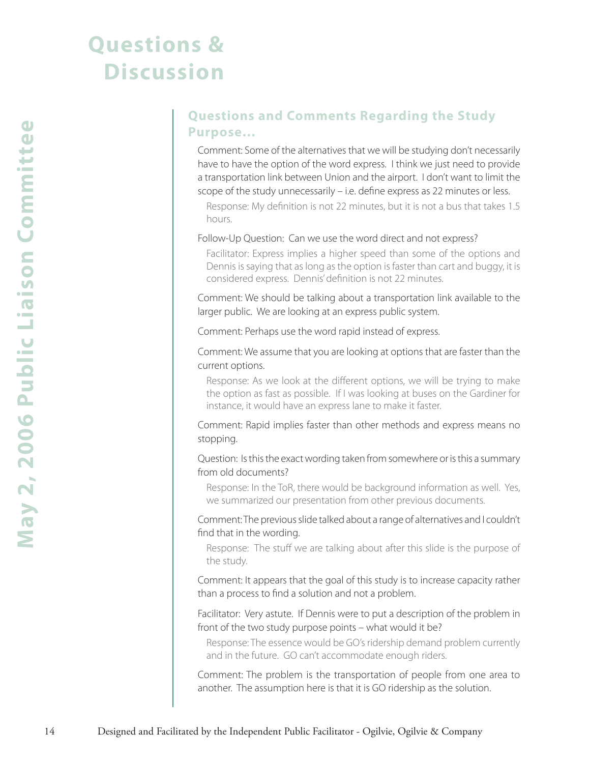## **Questions & Discussion**

### **Questions and Comments Regarding the Study Purpose…**

Comment: Some of the alternatives that we will be studying don't necessarily have to have the option of the word express. I think we just need to provide a transportation link between Union and the airport. I don't want to limit the scope of the study unnecessarily – i.e. define express as 22 minutes or less.

Response: My definition is not 22 minutes, but it is not a bus that takes 1.5 hours.

#### Follow-Up Question: Can we use the word direct and not express?

Facilitator: Express implies a higher speed than some of the options and Dennis is saying that as long as the option is faster than cart and buggy, it is considered express. Dennis' definition is not 22 minutes.

Comment: We should be talking about a transportation link available to the larger public. We are looking at an express public system.

Comment: Perhaps use the word rapid instead of express.

Comment: We assume that you are looking at options that are faster than the current options.

Response: As we look at the different options, we will be trying to make the option as fast as possible. If I was looking at buses on the Gardiner for instance, it would have an express lane to make it faster.

Comment: Rapid implies faster than other methods and express means no stopping.

Question: Is this the exact wording taken from somewhere or is this a summary from old documents?

Response: In the ToR, there would be background information as well. Yes, we summarized our presentation from other previous documents.

Comment: The previous slide talked about a range of alternatives and I couldn't find that in the wording.

Response: The stuff we are talking about after this slide is the purpose of the study.

Comment: It appears that the goal of this study is to increase capacity rather than a process to find a solution and not a problem.

Facilitator: Very astute. If Dennis were to put a description of the problem in front of the two study purpose points – what would it be?

Response: The essence would be GO's ridership demand problem currently and in the future. GO can't accommodate enough riders.

Comment: The problem is the transportation of people from one area to another. The assumption here is that it is GO ridership as the solution.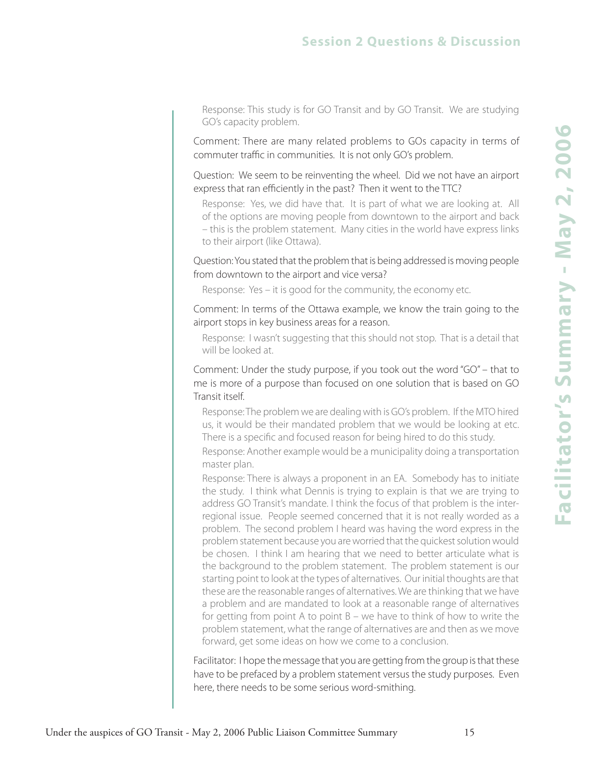### **Session 2 Questions & Discussion**

Response: This study is for GO Transit and by GO Transit. We are studying GO's capacity problem.

Comment: There are many related problems to GOs capacity in terms of commuter traffic in communities. It is not only GO's problem.

Question: We seem to be reinventing the wheel. Did we not have an airport express that ran efficiently in the past? Then it went to the TTC?

Response: Yes, we did have that. It is part of what we are looking at. All of the options are moving people from downtown to the airport and back – this is the problem statement. Many cities in the world have express links to their airport (like Ottawa).

Question: You stated that the problem that is being addressed is moving people from downtown to the airport and vice versa?

Response: Yes – it is good for the community, the economy etc.

Comment: In terms of the Ottawa example, we know the train going to the airport stops in key business areas for a reason.

Response: I wasn't suggesting that this should not stop. That is a detail that will be looked at.

Comment: Under the study purpose, if you took out the word "GO" – that to me is more of a purpose than focused on one solution that is based on GO Transit itself.

Response: The problem we are dealing with is GO's problem. If the MTO hired us, it would be their mandated problem that we would be looking at etc. There is a specific and focused reason for being hired to do this study.

Response: Another example would be a municipality doing a transportation master plan.

Response: There is always a proponent in an EA. Somebody has to initiate the study. I think what Dennis is trying to explain is that we are trying to address GO Transit's mandate. I think the focus of that problem is the interregional issue. People seemed concerned that it is not really worded as a problem. The second problem I heard was having the word express in the problem statement because you are worried that the quickest solution would be chosen. I think I am hearing that we need to better articulate what is the background to the problem statement. The problem statement is our starting point to look at the types of alternatives. Our initial thoughts are that these are the reasonable ranges of alternatives. We are thinking that we have a problem and are mandated to look at a reasonable range of alternatives for getting from point A to point B – we have to think of how to write the problem statement, what the range of alternatives are and then as we move forward, get some ideas on how we come to a conclusion.

Facilitator: I hope the message that you are getting from the group is that these have to be prefaced by a problem statement versus the study purposes. Even here, there needs to be some serious word-smithing.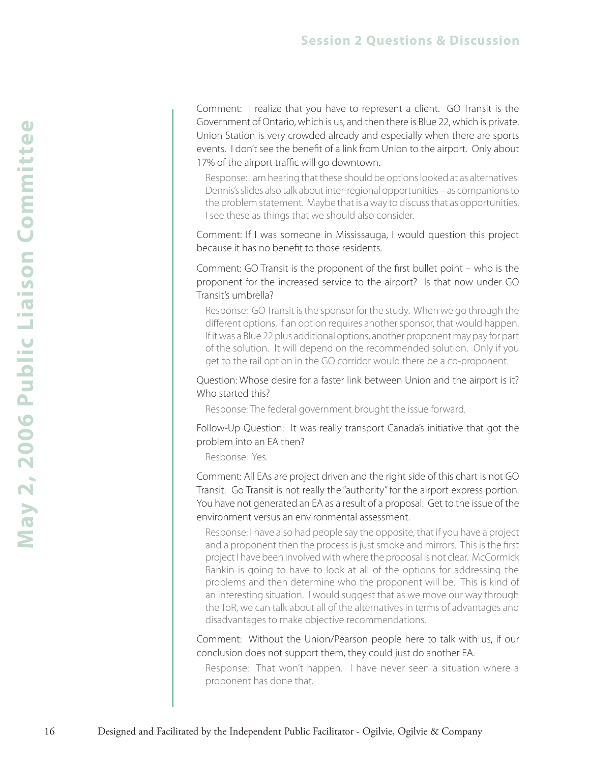Comment: I realize that you have to represent a client. GO Transit is the Government of Ontario, which is us, and then there is Blue 22, which is private. Union Station is very crowded already and especially when there are sports events. I don't see the benefit of a link from Union to the airport. Only about 17% of the airport traffic will go downtown.

Response: I am hearing that these should be options looked at as alternatives. Dennis's slides also talk about inter-regional opportunities – as companions to the problem statement. Maybe that is a way to discuss that as opportunities. I see these as things that we should also consider.

Comment: If I was someone in Mississauga, I would question this project because it has no benefit to those residents.

Comment: GO Transit is the proponent of the first bullet point – who is the proponent for the increased service to the airport? Is that now under GO Transit's umbrella?

Response: GO Transit is the sponsor for the study. When we go through the different options, if an option requires another sponsor, that would happen. If it was a Blue 22 plus additional options, another proponent may pay for part of the solution. It will depend on the recommended solution. Only if you get to the rail option in the GO corridor would there be a co-proponent.

Question: Whose desire for a faster link between Union and the airport is it? Who started this?

Response: The federal government brought the issue forward.

Follow-Up Question: It was really transport Canada's initiative that got the problem into an EA then?

Response: Yes.

Comment: All EAs are project driven and the right side of this chart is not GO Transit. Go Transit is not really the "authority" for the airport express portion. You have not generated an EA as a result of a proposal. Get to the issue of the environment versus an environmental assessment.

Response: I have also had people say the opposite, that if you have a project and a proponent then the process is just smoke and mirrors. This is the first project I have been involved with where the proposal is not clear. McCormick Rankin is going to have to look at all of the options for addressing the problems and then determine who the proponent will be. This is kind of an interesting situation. I would suggest that as we move our way through the ToR, we can talk about all of the alternatives in terms of advantages and disadvantages to make objective recommendations.

Comment: Without the Union/Pearson people here to talk with us, if our conclusion does not support them, they could just do another EA.

Response: That won't happen. I have never seen a situation where a proponent has done that.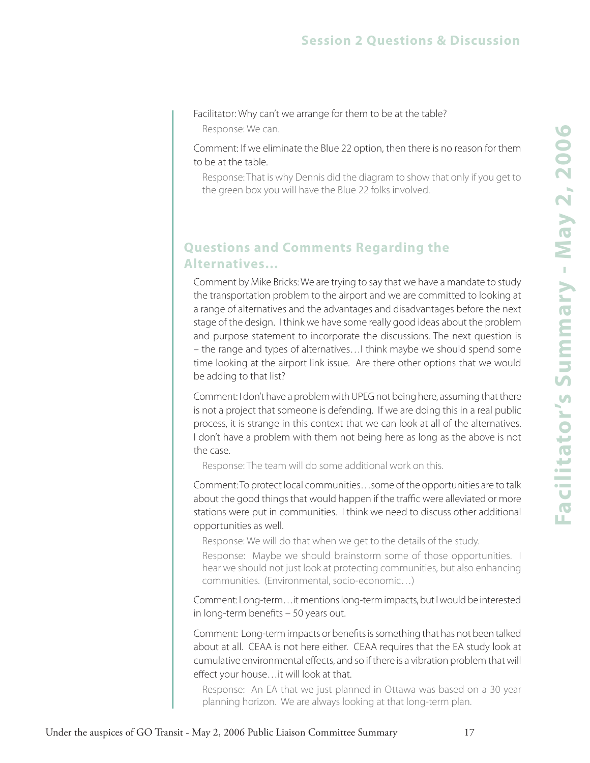Facilitator: Why can't we arrange for them to be at the table?

Response: We can.

Comment: If we eliminate the Blue 22 option, then there is no reason for them to be at the table.

Response: That is why Dennis did the diagram to show that only if you get to the green box you will have the Blue 22 folks involved.

### **Questions and Comments Regarding the Alternatives…**

Comment by Mike Bricks: We are trying to say that we have a mandate to study the transportation problem to the airport and we are committed to looking at a range of alternatives and the advantages and disadvantages before the next stage of the design. I think we have some really good ideas about the problem and purpose statement to incorporate the discussions. The next question is – the range and types of alternatives…I think maybe we should spend some time looking at the airport link issue. Are there other options that we would be adding to that list?

Comment: I don't have a problem with UPEG not being here, assuming that there is not a project that someone is defending. If we are doing this in a real public process, it is strange in this context that we can look at all of the alternatives. I don't have a problem with them not being here as long as the above is not the case.

Response: The team will do some additional work on this.

Comment: To protect local communities…some of the opportunities are to talk about the good things that would happen if the traffic were alleviated or more stations were put in communities. I think we need to discuss other additional opportunities as well.

Response: We will do that when we get to the details of the study.

Response: Maybe we should brainstorm some of those opportunities. I hear we should not just look at protecting communities, but also enhancing communities. (Environmental, socio-economic…)

Comment: Long-term…it mentions long-term impacts, but I would be interested in long-term benefits – 50 years out.

Comment: Long-term impacts or benefits is something that has not been talked about at all. CEAA is not here either. CEAA requires that the EA study look at cumulative environmental effects, and so if there is a vibration problem that will effect your house…it will look at that.

Response: An EA that we just planned in Ottawa was based on a 30 year planning horizon. We are always looking at that long-term plan.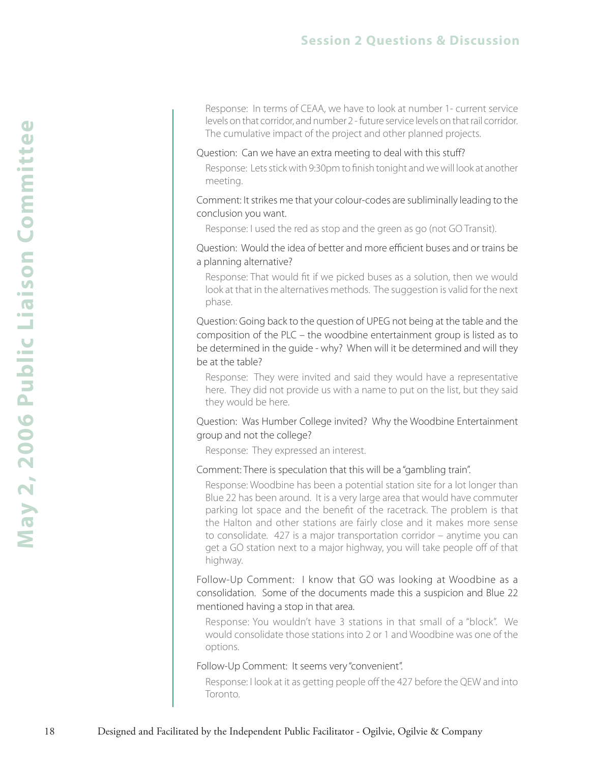Response: In terms of CEAA, we have to look at number 1- current service levels on that corridor, and number 2 - future service levels on that rail corridor. The cumulative impact of the project and other planned projects.

#### Question: Can we have an extra meeting to deal with this stuff?

Response: Lets stick with 9:30pm to finish tonight and we will look at another meeting.

Comment: It strikes me that your colour-codes are subliminally leading to the conclusion you want.

Response: I used the red as stop and the green as go (not GO Transit).

Question: Would the idea of better and more efficient buses and or trains be a planning alternative?

Response: That would fit if we picked buses as a solution, then we would look at that in the alternatives methods. The suggestion is valid for the next phase.

Question: Going back to the question of UPEG not being at the table and the composition of the PLC – the woodbine entertainment group is listed as to be determined in the guide - why? When will it be determined and will they be at the table?

Response: They were invited and said they would have a representative here. They did not provide us with a name to put on the list, but they said they would be here.

Question: Was Humber College invited? Why the Woodbine Entertainment group and not the college?

Response: They expressed an interest.

#### Comment: There is speculation that this will be a "gambling train".

Response: Woodbine has been a potential station site for a lot longer than Blue 22 has been around. It is a very large area that would have commuter parking lot space and the benefit of the racetrack. The problem is that the Halton and other stations are fairly close and it makes more sense to consolidate. 427 is a major transportation corridor – anytime you can get a GO station next to a major highway, you will take people off of that highway.

Follow-Up Comment: I know that GO was looking at Woodbine as a consolidation. Some of the documents made this a suspicion and Blue 22 mentioned having a stop in that area.

Response: You wouldn't have 3 stations in that small of a "block". We would consolidate those stations into 2 or 1 and Woodbine was one of the options.

#### Follow-Up Comment: It seems very "convenient".

Response: I look at it as getting people off the 427 before the QEW and into Toronto.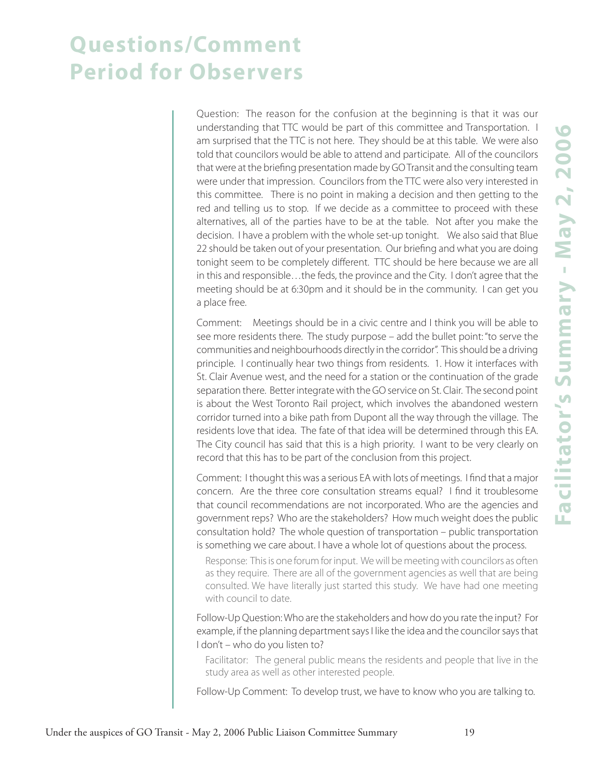## **Questions/Comment Period for Observers**

Question: The reason for the confusion at the beginning is that it was our understanding that TTC would be part of this committee and Transportation. I am surprised that the TTC is not here. They should be at this table. We were also told that councilors would be able to attend and participate. All of the councilors that were at the briefing presentation made by GO Transit and the consulting team were under that impression. Councilors from the TTC were also very interested in this committee. There is no point in making a decision and then getting to the red and telling us to stop. If we decide as a committee to proceed with these alternatives, all of the parties have to be at the table. Not after you make the decision. I have a problem with the whole set-up tonight. We also said that Blue 22 should be taken out of your presentation. Our briefing and what you are doing tonight seem to be completely different. TTC should be here because we are all in this and responsible…the feds, the province and the City. I don't agree that the meeting should be at 6:30pm and it should be in the community. I can get you a place free.

Comment: Meetings should be in a civic centre and I think you will be able to see more residents there. The study purpose – add the bullet point: "to serve the communities and neighbourhoods directly in the corridor". This should be a driving principle. I continually hear two things from residents. 1. How it interfaces with St. Clair Avenue west, and the need for a station or the continuation of the grade separation there. Better integrate with the GO service on St. Clair. The second point is about the West Toronto Rail project, which involves the abandoned western corridor turned into a bike path from Dupont all the way through the village. The residents love that idea. The fate of that idea will be determined through this EA. The City council has said that this is a high priority. I want to be very clearly on record that this has to be part of the conclusion from this project.

Comment: I thought this was a serious EA with lots of meetings. I find that a major concern. Are the three core consultation streams equal? I find it troublesome that council recommendations are not incorporated. Who are the agencies and government reps? Who are the stakeholders? How much weight does the public consultation hold? The whole question of transportation – public transportation is something we care about. I have a whole lot of questions about the process.

Response: This is one forum for input. We will be meeting with councilors as often as they require. There are all of the government agencies as well that are being consulted. We have literally just started this study. We have had one meeting with council to date.

Follow-Up Question: Who are the stakeholders and how do you rate the input? For example, if the planning department says I like the idea and the councilor says that I don't – who do you listen to?

Facilitator: The general public means the residents and people that live in the study area as well as other interested people.

Follow-Up Comment: To develop trust, we have to know who you are talking to.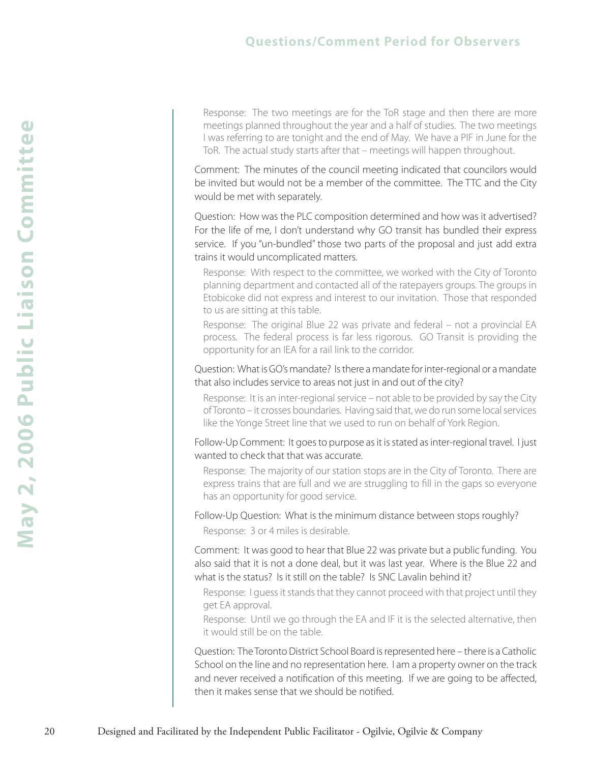### **Questions/Comment Period for Observers**

Response: The two meetings are for the ToR stage and then there are more meetings planned throughout the year and a half of studies. The two meetings I was referring to are tonight and the end of May. We have a PIF in June for the ToR. The actual study starts after that – meetings will happen throughout.

Comment: The minutes of the council meeting indicated that councilors would be invited but would not be a member of the committee. The TTC and the City would be met with separately.

Question: How was the PLC composition determined and how was it advertised? For the life of me, I don't understand why GO transit has bundled their express service. If you "un-bundled" those two parts of the proposal and just add extra trains it would uncomplicated matters.

Response: With respect to the committee, we worked with the City of Toronto planning department and contacted all of the ratepayers groups. The groups in Etobicoke did not express and interest to our invitation. Those that responded to us are sitting at this table.

Response: The original Blue 22 was private and federal – not a provincial EA process. The federal process is far less rigorous. GO Transit is providing the opportunity for an IEA for a rail link to the corridor.

Question: What is GO's mandate? Is there a mandate for inter-regional or a mandate that also includes service to areas not just in and out of the city?

Response: It is an inter-regional service – not able to be provided by say the City of Toronto – it crosses boundaries. Having said that, we do run some local services like the Yonge Street line that we used to run on behalf of York Region.

Follow-Up Comment: It goes to purpose as it is stated as inter-regional travel. I just wanted to check that that was accurate.

Response: The majority of our station stops are in the City of Toronto. There are express trains that are full and we are struggling to fill in the gaps so everyone has an opportunity for good service.

#### Follow-Up Question: What is the minimum distance between stops roughly?

Response: 3 or 4 miles is desirable.

Comment: It was good to hear that Blue 22 was private but a public funding. You also said that it is not a done deal, but it was last year. Where is the Blue 22 and what is the status? Is it still on the table? Is SNC Lavalin behind it?

Response: I guess it stands that they cannot proceed with that project until they get EA approval.

Response: Until we go through the EA and IF it is the selected alternative, then it would still be on the table.

Question: The Toronto District School Board is represented here – there is a Catholic School on the line and no representation here. I am a property owner on the track and never received a notification of this meeting. If we are going to be affected, then it makes sense that we should be notified.